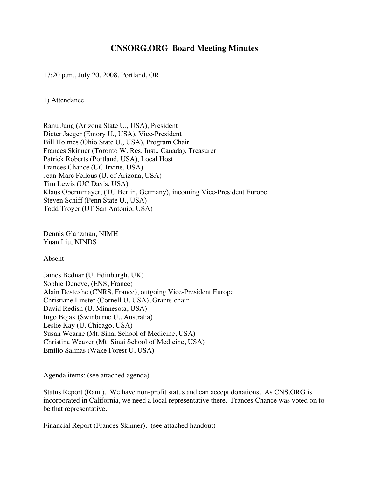## **CNSORG.ORG Board Meeting Minutes**

17:20 p.m., July 20, 2008, Portland, OR

1) Attendance

Ranu Jung (Arizona State U., USA), President Dieter Jaeger (Emory U., USA), Vice-President Bill Holmes (Ohio State U., USA), Program Chair Frances Skinner (Toronto W. Res. Inst., Canada), Treasurer Patrick Roberts (Portland, USA), Local Host Frances Chance (UC Irvine, USA) Jean-Marc Fellous (U. of Arizona, USA) Tim Lewis (UC Davis, USA) Klaus Obermmayer, (TU Berlin, Germany), incoming Vice-President Europe Steven Schiff (Penn State U., USA) Todd Troyer (UT San Antonio, USA)

Dennis Glanzman, NIMH Yuan Liu, NINDS

Absent

James Bednar (U. Edinburgh, UK) Sophie Deneve, (ENS, France) Alain Destexhe (CNRS, France), outgoing Vice-President Europe Christiane Linster (Cornell U, USA), Grants-chair David Redish (U. Minnesota, USA) Ingo Bojak (Swinburne U., Australia) Leslie Kay (U. Chicago, USA) Susan Wearne (Mt. Sinai School of Medicine, USA) Christina Weaver (Mt. Sinai School of Medicine, USA) Emilio Salinas (Wake Forest U, USA)

Agenda items: (see attached agenda)

Status Report (Ranu). We have non-profit status and can accept donations. As CNS.ORG is incorporated in California, we need a local representative there. Frances Chance was voted on to be that representative.

Financial Report (Frances Skinner). (see attached handout)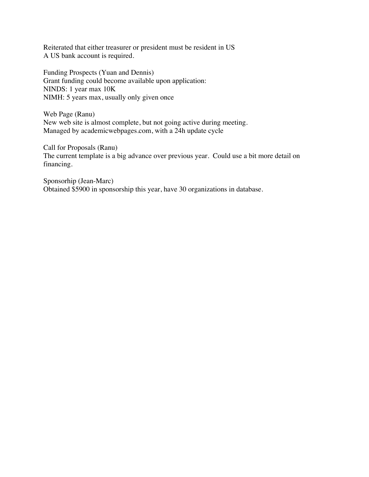Reiterated that either treasurer or president must be resident in US A US bank account is required.

Funding Prospects (Yuan and Dennis) Grant funding could become available upon application: NINDS: 1 year max 10K NIMH: 5 years max, usually only given once

Web Page (Ranu) New web site is almost complete, but not going active during meeting. Managed by academicwebpages.com, with a 24h update cycle

Call for Proposals (Ranu) The current template is a big advance over previous year. Could use a bit more detail on financing.

Sponsorhip (Jean-Marc) Obtained \$5900 in sponsorship this year, have 30 organizations in database.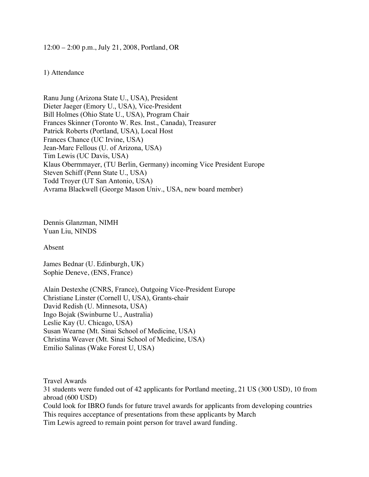## 12:00 – 2:00 p.m., July 21, 2008, Portland, OR

## 1) Attendance

Ranu Jung (Arizona State U., USA), President Dieter Jaeger (Emory U., USA), Vice-President Bill Holmes (Ohio State U., USA), Program Chair Frances Skinner (Toronto W. Res. Inst., Canada), Treasurer Patrick Roberts (Portland, USA), Local Host Frances Chance (UC Irvine, USA) Jean-Marc Fellous (U. of Arizona, USA) Tim Lewis (UC Davis, USA) Klaus Obermmayer, (TU Berlin, Germany) incoming Vice President Europe Steven Schiff (Penn State U., USA) Todd Troyer (UT San Antonio, USA) Avrama Blackwell (George Mason Univ., USA, new board member)

Dennis Glanzman, NIMH Yuan Liu, NINDS

Absent

James Bednar (U. Edinburgh, UK) Sophie Deneve, (ENS, France)

Alain Destexhe (CNRS, France), Outgoing Vice-President Europe Christiane Linster (Cornell U, USA), Grants-chair David Redish (U. Minnesota, USA) Ingo Bojak (Swinburne U., Australia) Leslie Kay (U. Chicago, USA) Susan Wearne (Mt. Sinai School of Medicine, USA) Christina Weaver (Mt. Sinai School of Medicine, USA) Emilio Salinas (Wake Forest U, USA)

Travel Awards

31 students were funded out of 42 applicants for Portland meeting, 21 US (300 USD), 10 from abroad (600 USD)

Could look for IBRO funds for future travel awards for applicants from developing countries This requires acceptance of presentations from these applicants by March

Tim Lewis agreed to remain point person for travel award funding.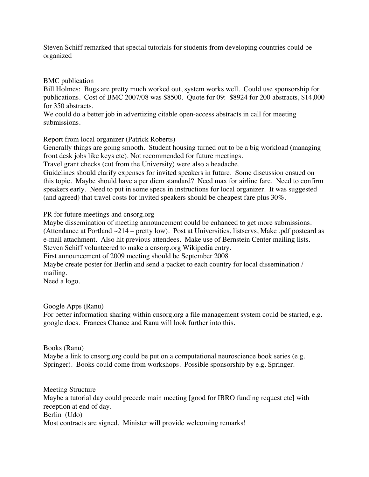Steven Schiff remarked that special tutorials for students from developing countries could be organized

## BMC publication

Bill Holmes: Bugs are pretty much worked out, system works well. Could use sponsorship for publications. Cost of BMC 2007/08 was \$8500. Quote for 09: \$8924 for 200 abstracts, \$14,000 for 350 abstracts.

We could do a better job in advertizing citable open-access abstracts in call for meeting submissions.

Report from local organizer (Patrick Roberts)

Generally things are going smooth. Student housing turned out to be a big workload (managing front desk jobs like keys etc). Not recommended for future meetings.

Travel grant checks (cut from the University) were also a headache.

Guidelines should clarify expenses for invited speakers in future. Some discussion ensued on this topic. Maybe should have a per diem standard? Need max for airline fare. Need to confirm speakers early. Need to put in some specs in instructions for local organizer. It was suggested (and agreed) that travel costs for invited speakers should be cheapest fare plus 30%.

PR for future meetings and cnsorg.org

Maybe dissemination of meeting announcement could be enhanced to get more submissions. (Attendance at Portland ~214 – pretty low). Post at Universities, listservs, Make .pdf postcard as e-mail attachment. Also hit previous attendees. Make use of Bernstein Center mailing lists. Steven Schiff volunteered to make a cnsorg.org Wikipedia entry.

First announcement of 2009 meeting should be September 2008

Maybe create poster for Berlin and send a packet to each country for local dissemination / mailing.

Need a logo.

Google Apps (Ranu)

For better information sharing within cnsorg.org a file management system could be started, e.g. google docs. Frances Chance and Ranu will look further into this.

Books (Ranu)

Maybe a link to cnsorg org could be put on a computational neuroscience book series (e.g. Springer). Books could come from workshops. Possible sponsorship by e.g. Springer.

Meeting Structure Maybe a tutorial day could precede main meeting [good for IBRO funding request etc] with reception at end of day. Berlin (Udo) Most contracts are signed. Minister will provide welcoming remarks!